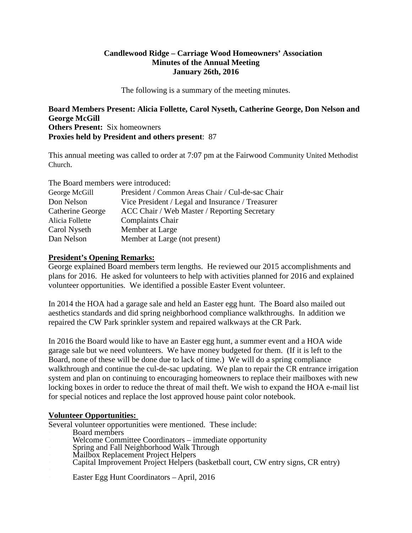# **Candlewood Ridge – Carriage Wood Homeowners' Association Minutes of the Annual Meeting January 26th, 2016**

The following is a summary of the meeting minutes.

**Board Members Present: Alicia Follette, Carol Nyseth, Catherine George, Don Nelson and George McGill Others Present:** Six homeowners **Proxies held by President and others present**: 87

This annual meeting was called to order at 7:07 pm at the Fairwood Community United Methodist Church.

The Board members were introduced:

| George McGill    | President / Common Areas Chair / Cul-de-sac Chair |
|------------------|---------------------------------------------------|
| Don Nelson       | Vice President / Legal and Insurance / Treasurer  |
| Catherine George | ACC Chair / Web Master / Reporting Secretary      |
| Alicia Follette  | Complaints Chair                                  |
| Carol Nyseth     | Member at Large                                   |
| Dan Nelson       | Member at Large (not present)                     |

# **President's Opening Remarks:**

George explained Board members term lengths. He reviewed our 2015 accomplishments and plans for 2016. He asked for volunteers to help with activities planned for 2016 and explained volunteer opportunities. We identified a possible Easter Event volunteer.

In 2014 the HOA had a garage sale and held an Easter egg hunt. The Board also mailed out aesthetics standards and did spring neighborhood compliance walkthroughs. In addition we repaired the CW Park sprinkler system and repaired walkways at the CR Park.

In 2016 the Board would like to have an Easter egg hunt, a summer event and a HOA wide garage sale but we need volunteers. We have money budgeted for them. (If it is left to the Board, none of these will be done due to lack of time.) We will do a spring compliance walkthrough and continue the cul-de-sac updating. We plan to repair the CR entrance irrigation system and plan on continuing to encouraging homeowners to replace their mailboxes with new locking boxes in order to reduce the threat of mail theft. We wish to expand the HOA e-mail list for special notices and replace the lost approved house paint color notebook.

### **Volunteer Opportunities:**

Several volunteer opportunities were mentioned. These include:

- 
- 
- 
- 
- Welcome Committee Coordinators immediate opportunity<br>Spring and Fall Neighborhood Walk Through<br>Mailbox Replacement Project Helpers<br>Capital Improvement Project Helpers (basketball court, CW entry signs, CR entry)
- Easter Egg Hunt Coordinators April, 2016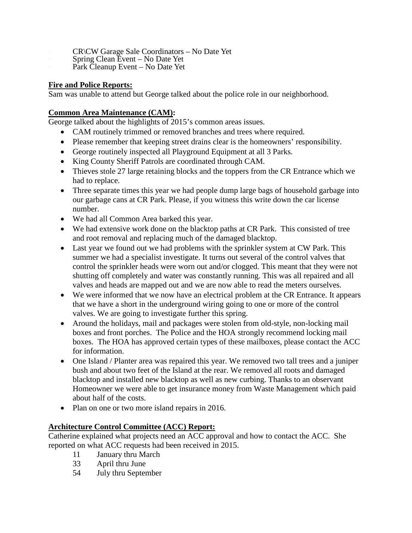- CR\CW Garage Sale Coordinators No Date Yet Spring Clean Event No Date Yet Park Cleanup Event No Date Yet
- 
- 

# **Fire and Police Reports:**

Sam was unable to attend but George talked about the police role in our neighborhood.

# **Common Area Maintenance (CAM):**

George talked about the highlights of 2015's common areas issues.

- CAM routinely trimmed or removed branches and trees where required.
- Please remember that keeping street drains clear is the homeowners' responsibility.
- George routinely inspected all Playground Equipment at all 3 Parks.
- King County Sheriff Patrols are coordinated through CAM.
- Thieves stole 27 large retaining blocks and the toppers from the CR Entrance which we had to replace.
- Three separate times this year we had people dump large bags of household garbage into our garbage cans at CR Park. Please, if you witness this write down the car license number.
- We had all Common Area barked this year.
- We had extensive work done on the blacktop paths at CR Park. This consisted of tree and root removal and replacing much of the damaged blacktop.
- Last year we found out we had problems with the sprinkler system at CW Park. This summer we had a specialist investigate. It turns out several of the control valves that control the sprinkler heads were worn out and/or clogged. This meant that they were not shutting off completely and water was constantly running. This was all repaired and all valves and heads are mapped out and we are now able to read the meters ourselves.
- We were informed that we now have an electrical problem at the CR Entrance. It appears that we have a short in the underground wiring going to one or more of the control valves. We are going to investigate further this spring.
- Around the holidays, mail and packages were stolen from old-style, non-locking mail boxes and front porches. The Police and the HOA strongly recommend locking mail boxes. The HOA has approved certain types of these mailboxes, please contact the ACC for information.
- One Island / Planter area was repaired this year. We removed two tall trees and a juniper bush and about two feet of the Island at the rear. We removed all roots and damaged blacktop and installed new blacktop as well as new curbing. Thanks to an observant Homeowner we were able to get insurance money from Waste Management which paid about half of the costs.
- Plan on one or two more island repairs in 2016.

# **Architecture Control Committee (ACC) Report:**

Catherine explained what projects need an ACC approval and how to contact the ACC. She reported on what ACC requests had been received in 2015.

- 11 January thru March
- 33 April thru June
- 54 July thru September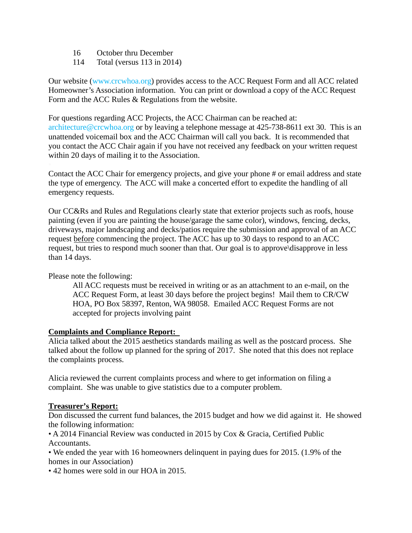- 16 October thru December
- 114 Total (versus 113 in 2014)

Our website (www.crcwhoa.org) provides access to the ACC Request Form and all ACC related Homeowner's Association information. You can print or download a copy of the ACC Request Form and the ACC Rules & Regulations from the website.

For questions regarding ACC Projects, the ACC Chairman can be reached at: architecture@crcwhoa.org or by leaving a telephone message at 425-738-8611 ext 30. This is an unattended voicemail box and the ACC Chairman will call you back. It is recommended that you contact the ACC Chair again if you have not received any feedback on your written request within 20 days of mailing it to the Association.

Contact the ACC Chair for emergency projects, and give your phone # or email address and state the type of emergency. The ACC will make a concerted effort to expedite the handling of all emergency requests.

Our CC&Rs and Rules and Regulations clearly state that exterior projects such as roofs, house painting (even if you are painting the house/garage the same color), windows, fencing, decks, driveways, major landscaping and decks/patios require the submission and approval of an ACC request before commencing the project. The ACC has up to 30 days to respond to an ACC request, but tries to respond much sooner than that. Our goal is to approve\disapprove in less than 14 days.

Please note the following:

All ACC requests must be received in writing or as an attachment to an e-mail, on the ACC Request Form, at least 30 days before the project begins! Mail them to CR/CW HOA, PO Box 58397, Renton, WA 98058. Emailed ACC Request Forms are not accepted for projects involving paint

### **Complaints and Compliance Report:**

Alicia talked about the 2015 aesthetics standards mailing as well as the postcard process. She talked about the follow up planned for the spring of 2017. She noted that this does not replace the complaints process.

Alicia reviewed the current complaints process and where to get information on filing a complaint. She was unable to give statistics due to a computer problem.

### **Treasurer's Report:**

Don discussed the current fund balances, the 2015 budget and how we did against it. He showed the following information:

• A 2014 Financial Review was conducted in 2015 by Cox & Gracia, Certified Public Accountants.

• We ended the year with 16 homeowners delinquent in paying dues for 2015. (1.9% of the homes in our Association)

• 42 homes were sold in our HOA in 2015.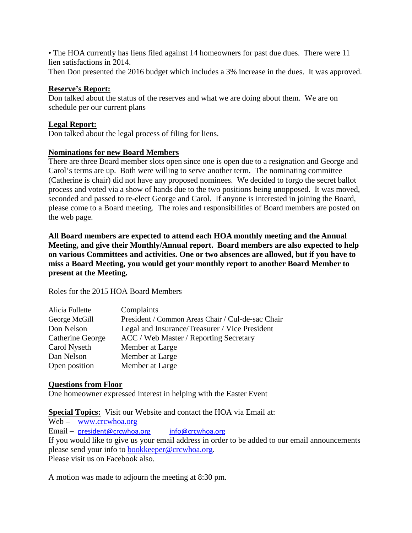• The HOA currently has liens filed against 14 homeowners for past due dues. There were 11 lien satisfactions in 2014.

Then Don presented the 2016 budget which includes a 3% increase in the dues. It was approved.

# **Reserve's Report:**

Don talked about the status of the reserves and what we are doing about them. We are on schedule per our current plans

# **Legal Report:**

Don talked about the legal process of filing for liens.

# **Nominations for new Board Members**

There are three Board member slots open since one is open due to a resignation and George and Carol's terms are up. Both were willing to serve another term. The nominating committee (Catherine is chair) did not have any proposed nominees. We decided to forgo the secret ballot process and voted via a show of hands due to the two positions being unopposed. It was moved, seconded and passed to re-elect George and Carol. If anyone is interested in joining the Board, please come to a Board meeting. The roles and responsibilities of Board members are posted on the web page.

**All Board members are expected to attend each HOA monthly meeting and the Annual Meeting, and give their Monthly/Annual report. Board members are also expected to help on various Committees and activities. One or two absences are allowed, but if you have to miss a Board Meeting, you would get your monthly report to another Board Member to present at the Meeting.**

Roles for the 2015 HOA Board Members

| Alicia Follette  | Complaints                                        |
|------------------|---------------------------------------------------|
| George McGill    | President / Common Areas Chair / Cul-de-sac Chair |
| Don Nelson       | Legal and Insurance/Treasurer / Vice President    |
| Catherine George | ACC / Web Master / Reporting Secretary            |
| Carol Nyseth     | Member at Large                                   |
| Dan Nelson       | Member at Large                                   |
| Open position    | Member at Large                                   |

### **Questions from Floor**

One homeowner expressed interest in helping with the Easter Event

**Special Topics:** Visit our Website and contact the HOA via Email at:

Web – [www.crcwhoa.org](http://www.crcwhoa.org/) Email – [president@crcwhoa.org](mailto:president@crcwhoa.org) [info@crcwhoa.org](mailto:info@crcwhoa.org) If you would like to give us your email address in order to be added to our email announcements please send your info to [bookkeeper@crcwhoa.org.](mailto:bookkeeper@crcwhoa.org) Please visit us on Facebook also.

A motion was made to adjourn the meeting at 8:30 pm.